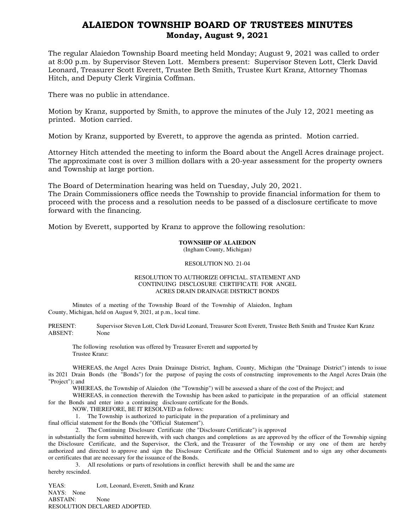## ALAIEDON TOWNSHIP BOARD OF TRUSTEES MINUTES Monday, August 9, 2021

The regular Alaiedon Township Board meeting held Monday; August 9, 2021 was called to order at 8:00 p.m. by Supervisor Steven Lott. Members present: Supervisor Steven Lott, Clerk David Leonard, Treasurer Scott Everett, Trustee Beth Smith, Trustee Kurt Kranz, Attorney Thomas Hitch, and Deputy Clerk Virginia Coffman.

There was no public in attendance.

Motion by Kranz, supported by Smith, to approve the minutes of the July 12, 2021 meeting as printed. Motion carried.

Motion by Kranz, supported by Everett, to approve the agenda as printed. Motion carried.

Attorney Hitch attended the meeting to inform the Board about the Angell Acres drainage project. The approximate cost is over 3 million dollars with a 20-year assessment for the property owners and Township at large portion.

The Board of Determination hearing was held on Tuesday, July 20, 2021.

The Drain Commissioners office needs the Township to provide financial information for them to proceed with the process and a resolution needs to be passed of a disclosure certificate to move forward with the financing.

Motion by Everett, supported by Kranz to approve the following resolution:

## **TOWNSHIP OF ALAIEDON**

(Ingham County, Michigan)

## RESOLUTION NO. 21-04

## RESOLUTION TO AUTHORIZE OFFICIAL. STATEMENT AND CONTINUING DISCLOSURE CERTIFICATE FOR ANGEL ACRES DRAIN DRAINAGE DISTRICT BONDS

Minutes of a meeting of the Township Board of the Township of Alaiedon, Ingham County, Michigan, held on August 9, 2021, at p.m., local time.

PRESENT: Supervisor Steven Lott, Clerk David Leonard, Treasurer Scott Everett, Trustee Beth Smith and Trustee Kurt Kranz ABSENT: None

The following resolution was offered by Treasurer Everett and supported by Trustee Kranz:

WHEREAS, the Angel Acres Drain Drainage District, Ingham, County, Michigan (the "Drainage District") intends to issue its 2021 Drain Bonds (the "Bonds") for the purpose of paying the costs of constructing improvements to the Angel Acres Drain (the "Project"); and

WHEREAS, the Township of Alaiedon (the "Township") will be assessed a share of the cost of the Project; and

WHEREAS, in connection therewith the Township has been asked to participate in the preparation of an official statement for the Bonds and enter into a continuing disclosure certificate for the Bonds.

NOW, THEREFORE, BE IT RESOLVED as follows:

1. The Township is authorized to participate in the preparation of a preliminary and

final official statement for the Bonds (the "Official Statement").

2. The Continuing Disclosure Certificate (the "Disclosure Certificate") is approved

in substantially the form submitted herewith, with such changes and completions as are approved by the officer of the Township signing the Disclosure Certificate, and the Supervisor, the Clerk, and the Treasurer of the Township or any one of them are hereby authorized and directed to approve and sign the Disclosure Certificate and the Official Statement and to sign any other documents or certificates that are necessary for the issuance of the Bonds.

3. All resolutions or parts of resolutions in conflict herewith shall be and the same are hereby rescinded.

YEAS: Lott, Leonard, Everett, Smith and Kranz NAYS: None ABSTAIN: None RESOLUTION DECLARED ADOPTED.